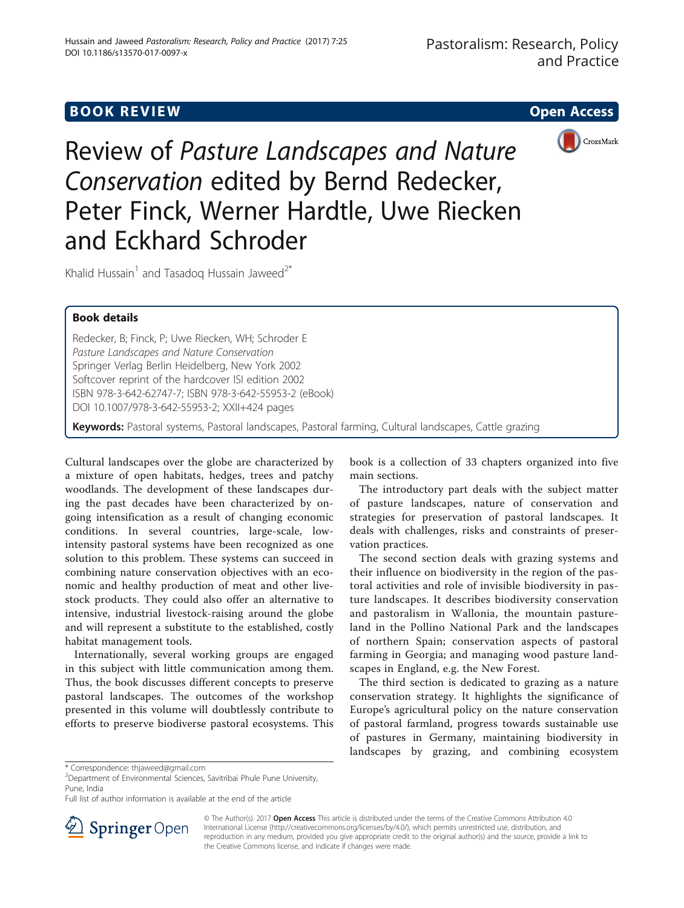# **BOOK REVIEW CONTROL** BOOK REVIEW



Review of Pasture Landscapes and Nature Conservation edited by Bernd Redecker, Peter Finck, Werner Hardtle, Uwe Riecken and Eckhard Schroder

Khalid Hussain<sup>1</sup> and Tasadog Hussain Jaweed<sup>2\*</sup>

## Book details

Redecker, B; Finck, P; Uwe Riecken, WH; Schroder E Pasture Landscapes and Nature Conservation Springer Verlag Berlin Heidelberg, New York 2002 Softcover reprint of the hardcover ISI edition 2002 ISBN 978-3-642-62747-7; ISBN 978-3-642-55953-2 (eBook) DOI 10.1007/978-3-642-55953-2; XXII+424 pages

Keywords: Pastoral systems, Pastoral landscapes, Pastoral farming, Cultural landscapes, Cattle grazing

Cultural landscapes over the globe are characterized by a mixture of open habitats, hedges, trees and patchy woodlands. The development of these landscapes during the past decades have been characterized by ongoing intensification as a result of changing economic conditions. In several countries, large-scale, lowintensity pastoral systems have been recognized as one solution to this problem. These systems can succeed in combining nature conservation objectives with an economic and healthy production of meat and other livestock products. They could also offer an alternative to intensive, industrial livestock-raising around the globe and will represent a substitute to the established, costly habitat management tools.

Internationally, several working groups are engaged in this subject with little communication among them. Thus, the book discusses different concepts to preserve pastoral landscapes. The outcomes of the workshop presented in this volume will doubtlessly contribute to efforts to preserve biodiverse pastoral ecosystems. This

book is a collection of 33 chapters organized into five main sections.

The introductory part deals with the subject matter of pasture landscapes, nature of conservation and strategies for preservation of pastoral landscapes. It deals with challenges, risks and constraints of preservation practices.

The second section deals with grazing systems and their influence on biodiversity in the region of the pastoral activities and role of invisible biodiversity in pasture landscapes. It describes biodiversity conservation and pastoralism in Wallonia, the mountain pastureland in the Pollino National Park and the landscapes of northern Spain; conservation aspects of pastoral farming in Georgia; and managing wood pasture landscapes in England, e.g. the New Forest.

The third section is dedicated to grazing as a nature conservation strategy. It highlights the significance of Europe's agricultural policy on the nature conservation of pastoral farmland, progress towards sustainable use of pastures in Germany, maintaining biodiversity in landscapes by grazing, and combining ecosystem

Full list of author information is available at the end of the article



© The Author(s). 2017 Open Access This article is distributed under the terms of the Creative Commons Attribution 4.0 International License ([http://creativecommons.org/licenses/by/4.0/\)](http://creativecommons.org/licenses/by/4.0/), which permits unrestricted use, distribution, and reproduction in any medium, provided you give appropriate credit to the original author(s) and the source, provide a link to the Creative Commons license, and indicate if changes were made.

<sup>\*</sup> Correspondence: [thjaweed@gmail.com](mailto:thjaweed@gmail.com) <sup>2</sup>

Department of Environmental Sciences, Savitribai Phule Pune University, Pune, India